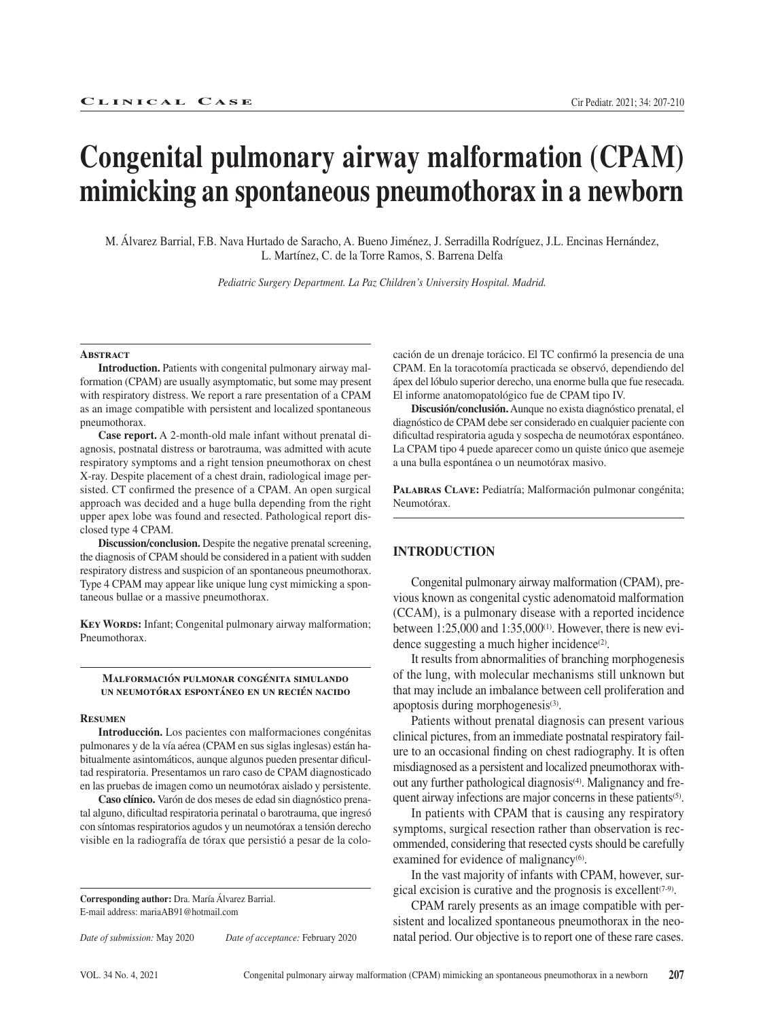# **Congenital pulmonary airway malformation (CPAM) mimicking an spontaneous pneumothorax in a newborn**

M. Álvarez Barrial, F.B. Nava Hurtado de Saracho, A. Bueno Jiménez, J. Serradilla Rodríguez, J.L. Encinas Hernández, L. Martínez, C. de la Torre Ramos, S. Barrena Delfa

*Pediatric Surgery Department. La Paz Children's University Hospital. Madrid.*

#### **Abstract**

**Introduction.** Patients with congenital pulmonary airway malformation (CPAM) are usually asymptomatic, but some may present with respiratory distress. We report a rare presentation of a CPAM as an image compatible with persistent and localized spontaneous pneumothorax.

**Case report.** A 2-month-old male infant without prenatal diagnosis, postnatal distress or barotrauma, was admitted with acute respiratory symptoms and a right tension pneumothorax on chest X-ray. Despite placement of a chest drain, radiological image persisted. CT confirmed the presence of a CPAM. An open surgical approach was decided and a huge bulla depending from the right upper apex lobe was found and resected. Pathological report disclosed type 4 CPAM.

**Discussion/conclusion.** Despite the negative prenatal screening, the diagnosis of CPAM should be considered in a patient with sudden respiratory distress and suspicion of an spontaneous pneumothorax. Type 4 CPAM may appear like unique lung cyst mimicking a spontaneous bullae or a massive pneumothorax.

**KEY WORDS:** Infant; Congenital pulmonary airway malformation; Pneumothorax.

#### **Malformación pulmonar congénita simulando un neumotórax espontáneo en un recién nacido**

#### **Resumen**

**Introducción.** Los pacientes con malformaciones congénitas pulmonares y de la vía aérea (CPAM en sus siglas inglesas) están habitualmente asintomáticos, aunque algunos pueden presentar dificultad respiratoria. Presentamos un raro caso de CPAM diagnosticado en las pruebas de imagen como un neumotórax aislado y persistente.

**Caso clínico.** Varón de dos meses de edad sin diagnóstico prenatal alguno, dificultad respiratoria perinatal o barotrauma, que ingresó con síntomas respiratorios agudos y un neumotórax a tensión derecho visible en la radiografía de tórax que persistió a pesar de la colo-

**Corresponding author:** Dra. María Álvarez Barrial. E-mail address: mariaAB91@hotmail.com

*Date of submission:* May 2020 *Date of acceptance:* February 2020

cación de un drenaje torácico. El TC confirmó la presencia de una CPAM. En la toracotomía practicada se observó, dependiendo del ápex del lóbulo superior derecho, una enorme bulla que fue resecada. El informe anatomopatológico fue de CPAM tipo IV.

**Discusión/conclusión.** Aunque no exista diagnóstico prenatal, el diagnóstico de CPAM debe ser considerado en cualquier paciente con dificultad respiratoria aguda y sospecha de neumotórax espontáneo. La CPAM tipo 4 puede aparecer como un quiste único que asemeje a una bulla espontánea o un neumotórax masivo.

**Palabras Clave:** Pediatría; Malformación pulmonar congénita; Neumotórax.

## **INTRODUCTION**

Congenital pulmonary airway malformation (CPAM), previous known as congenital cystic adenomatoid malformation (CCAM), is a pulmonary disease with a reported incidence between 1:25,000 and 1:35,000(1). However, there is new evidence suggesting a much higher incidence $(2)$ .

It results from abnormalities of branching morphogenesis of the lung, with molecular mechanisms still unknown but that may include an imbalance between cell proliferation and apoptosis during morphogenesis<sup>(3)</sup>.

Patients without prenatal diagnosis can present various clinical pictures, from an immediate postnatal respiratory failure to an occasional finding on chest radiography. It is often misdiagnosed as a persistent and localized pneumothorax without any further pathological diagnosis<sup>(4)</sup>. Malignancy and frequent airway infections are major concerns in these patients<sup>(5)</sup>.

In patients with CPAM that is causing any respiratory symptoms, surgical resection rather than observation is recommended, considering that resected cysts should be carefully examined for evidence of malignancy<sup>(6)</sup>.

In the vast majority of infants with CPAM, however, surgical excision is curative and the prognosis is excellent<sup> $(7-9)$ </sup>.

CPAM rarely presents as an image compatible with persistent and localized spontaneous pneumothorax in the neonatal period. Our objective is to report one of these rare cases.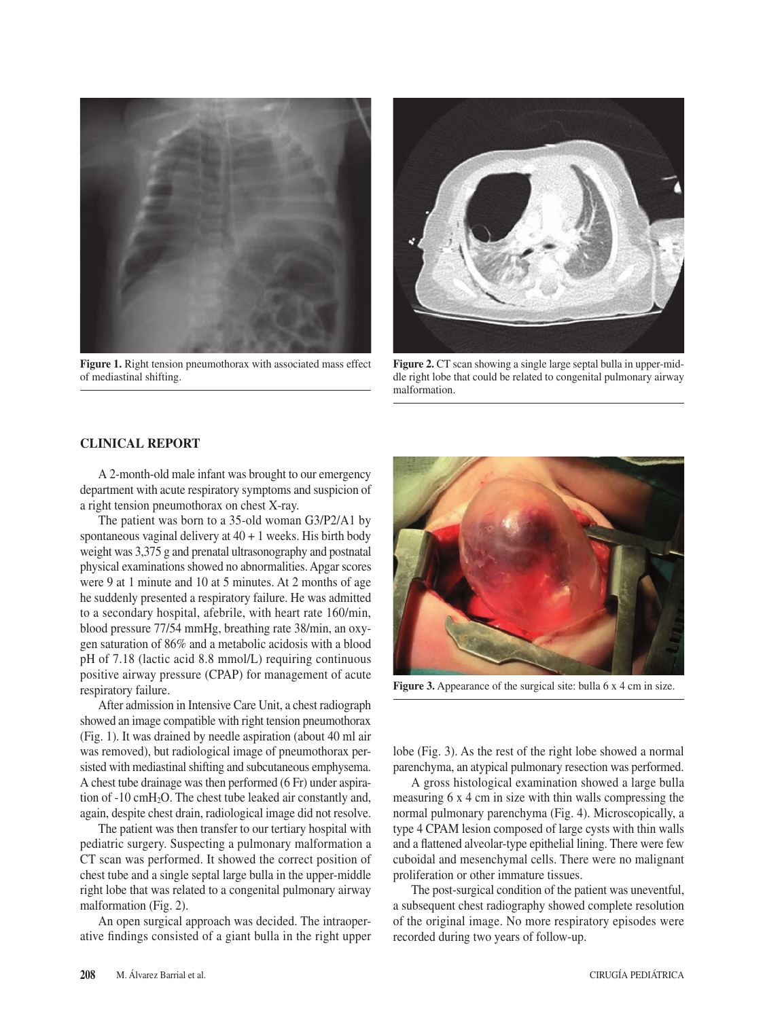

**Figure 1.** Right tension pneumothorax with associated mass effect of mediastinal shifting.



**Figure 2.** CT scan showing a single large septal bulla in upper-middle right lobe that could be related to congenital pulmonary airway malformation.

#### **CLINICAL REPORT**

A 2-month-old male infant was brought to our emergency department with acute respiratory symptoms and suspicion of a right tension pneumothorax on chest X-ray.

The patient was born to a 35-old woman G3/P2/A1 by spontaneous vaginal delivery at  $40 + 1$  weeks. His birth body weight was 3,375 g and prenatal ultrasonography and postnatal physical examinations showed no abnormalities. Apgar scores were 9 at 1 minute and 10 at 5 minutes. At 2 months of age he suddenly presented a respiratory failure. He was admitted to a secondary hospital, afebrile, with heart rate 160/min, blood pressure 77/54 mmHg, breathing rate 38/min, an oxygen saturation of 86% and a metabolic acidosis with a blood pH of 7.18 (lactic acid 8.8 mmol/L) requiring continuous positive airway pressure (CPAP) for management of acute respiratory failure.

After admission in Intensive Care Unit, a chest radiograph showed an image compatible with right tension pneumothorax (Fig. 1). It was drained by needle aspiration (about 40 ml air was removed), but radiological image of pneumothorax persisted with mediastinal shifting and subcutaneous emphysema. A chest tube drainage was then performed (6 Fr) under aspiration of -10 cmH2O. The chest tube leaked air constantly and, again, despite chest drain, radiological image did not resolve.

The patient was then transfer to our tertiary hospital with pediatric surgery. Suspecting a pulmonary malformation a CT scan was performed. It showed the correct position of chest tube and a single septal large bulla in the upper-middle right lobe that was related to a congenital pulmonary airway malformation (Fig. 2).

An open surgical approach was decided. The intraoperative findings consisted of a giant bulla in the right upper



**Figure 3.** Appearance of the surgical site: bulla 6 x 4 cm in size.

lobe (Fig. 3). As the rest of the right lobe showed a normal parenchyma, an atypical pulmonary resection was performed.

A gross histological examination showed a large bulla measuring 6 x 4 cm in size with thin walls compressing the normal pulmonary parenchyma (Fig. 4). Microscopically, a type 4 CPAM lesion composed of large cysts with thin walls and a flattened alveolar-type epithelial lining. There were few cuboidal and mesenchymal cells. There were no malignant proliferation or other immature tissues.

The post-surgical condition of the patient was uneventful, a subsequent chest radiography showed complete resolution of the original image. No more respiratory episodes were recorded during two years of follow-up.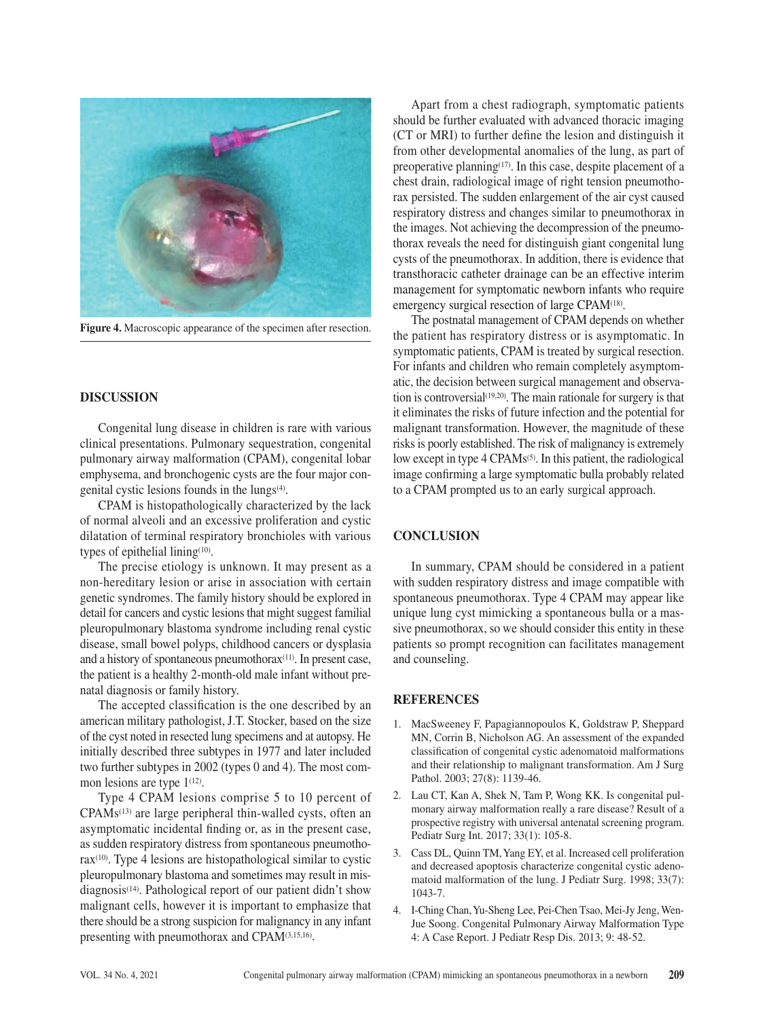

**Figure 4.** Macroscopic appearance of the specimen after resection.

## **DISCUSSION**

Congenital lung disease in children is rare with various clinical presentations. Pulmonary sequestration, congenital pulmonary airway malformation (CPAM), congenital lobar emphysema, and bronchogenic cysts are the four major congenital cystic lesions founds in the lungs(4).

CPAM is histopathologically characterized by the lack of normal alveoli and an excessive proliferation and cystic dilatation of terminal respiratory bronchioles with various types of epithelial lining $(10)$ .

The precise etiology is unknown. It may present as a non-hereditary lesion or arise in association with certain genetic syndromes. The family history should be explored in detail for cancers and cystic lesions that might suggest familial pleuropulmonary blastoma syndrome including renal cystic disease, small bowel polyps, childhood cancers or dysplasia and a history of spontaneous pneumothorax<sup>(11)</sup>. In present case, the patient is a healthy 2-month-old male infant without prenatal diagnosis or family history.

The accepted classification is the one described by an american military pathologist, J.T. Stocker, based on the size of the cyst noted in resected lung specimens and at autopsy. He initially described three subtypes in 1977 and later included two further subtypes in 2002 (types 0 and 4). The most common lesions are type  $1^{(12)}$ .

Type 4 CPAM lesions comprise 5 to 10 percent of CPAMs(13) are large peripheral thin-walled cysts, often an asymptomatic incidental finding or, as in the present case, as sudden respiratory distress from spontaneous pneumothorax(10). Type 4 lesions are histopathological similar to cystic pleuropulmonary blastoma and sometimes may result in misdiagnosis(14). Pathological report of our patient didn't show malignant cells, however it is important to emphasize that there should be a strong suspicion for malignancy in any infant presenting with pneumothorax and CPAM<sup>(3,15,16)</sup>.

Apart from a chest radiograph, symptomatic patients should be further evaluated with advanced thoracic imaging (CT or MRI) to further define the lesion and distinguish it from other developmental anomalies of the lung, as part of preoperative planning $(17)$ . In this case, despite placement of a chest drain, radiological image of right tension pneumothorax persisted. The sudden enlargement of the air cyst caused respiratory distress and changes similar to pneumothorax in the images. Not achieving the decompression of the pneumothorax reveals the need for distinguish giant congenital lung cysts of the pneumothorax. In addition, there is evidence that transthoracic catheter drainage can be an effective interim management for symptomatic newborn infants who require emergency surgical resection of large CPAM<sup>(18)</sup>.

The postnatal management of CPAM depends on whether the patient has respiratory distress or is asymptomatic. In symptomatic patients, CPAM is treated by surgical resection. For infants and children who remain completely asymptomatic, the decision between surgical management and observation is controversial $(19,20)$ . The main rationale for surgery is that it eliminates the risks of future infection and the potential for malignant transformation. However, the magnitude of these risks is poorly established. The risk of malignancy is extremely low except in type 4 CPAMs<sup>(5)</sup>. In this patient, the radiological image confirming a large symptomatic bulla probably related to a CPAM prompted us to an early surgical approach.

#### **CONCLUSION**

In summary, CPAM should be considered in a patient with sudden respiratory distress and image compatible with spontaneous pneumothorax. Type 4 CPAM may appear like unique lung cyst mimicking a spontaneous bulla or a massive pneumothorax, so we should consider this entity in these patients so prompt recognition can facilitates management and counseling.

## **REFERENCES**

- 1. MacSweeney F, Papagiannopoulos K, Goldstraw P, Sheppard MN, Corrin B, Nicholson AG. An assessment of the expanded classification of congenital cystic adenomatoid malformations and their relationship to malignant transformation. Am J Surg Pathol. 2003; 27(8): 1139-46.
- 2. Lau CT, Kan A, Shek N, Tam P, Wong KK. Is congenital pulmonary airway malformation really a rare disease? Result of a prospective registry with universal antenatal screening program. Pediatr Surg Int. 2017; 33(1): 105-8.
- 3. Cass DL, Quinn TM, Yang EY, et al. Increased cell proliferation and decreased apoptosis characterize congenital cystic adenomatoid malformation of the lung. J Pediatr Surg. 1998; 33(7): 1043-7.
- 4. I-Ching Chan, Yu-Sheng Lee, Pei-Chen Tsao, Mei-Jy Jeng, Wen-Jue Soong. Congenital Pulmonary Airway Malformation Type 4: A Case Report. J Pediatr Resp Dis. 2013; 9: 48-52.